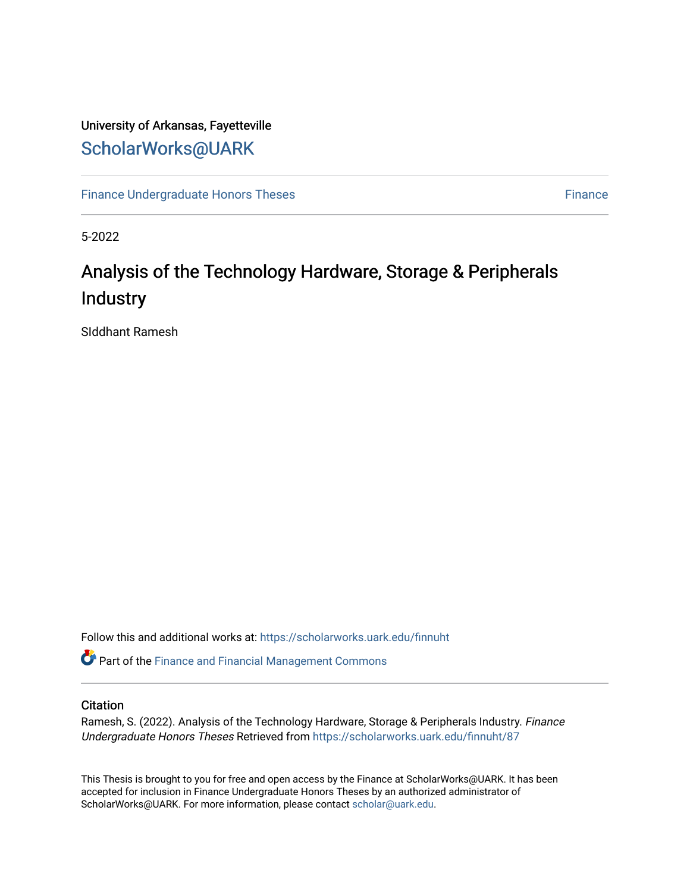# University of Arkansas, Fayetteville [ScholarWorks@UARK](https://scholarworks.uark.edu/)

[Finance Undergraduate Honors Theses](https://scholarworks.uark.edu/finnuht) **[Finance](https://scholarworks.uark.edu/finn) Executes** Finance Finance

5-2022

# Analysis of the Technology Hardware, Storage & Peripherals Industry

SIddhant Ramesh

Follow this and additional works at: [https://scholarworks.uark.edu/finnuht](https://scholarworks.uark.edu/finnuht?utm_source=scholarworks.uark.edu%2Ffinnuht%2F87&utm_medium=PDF&utm_campaign=PDFCoverPages)

Part of the [Finance and Financial Management Commons](https://network.bepress.com/hgg/discipline/631?utm_source=scholarworks.uark.edu%2Ffinnuht%2F87&utm_medium=PDF&utm_campaign=PDFCoverPages) 

### **Citation**

Ramesh, S. (2022). Analysis of the Technology Hardware, Storage & Peripherals Industry. Finance Undergraduate Honors Theses Retrieved from [https://scholarworks.uark.edu/finnuht/87](https://scholarworks.uark.edu/finnuht/87?utm_source=scholarworks.uark.edu%2Ffinnuht%2F87&utm_medium=PDF&utm_campaign=PDFCoverPages)

This Thesis is brought to you for free and open access by the Finance at ScholarWorks@UARK. It has been accepted for inclusion in Finance Undergraduate Honors Theses by an authorized administrator of ScholarWorks@UARK. For more information, please contact [scholar@uark.edu](mailto:scholar@uark.edu).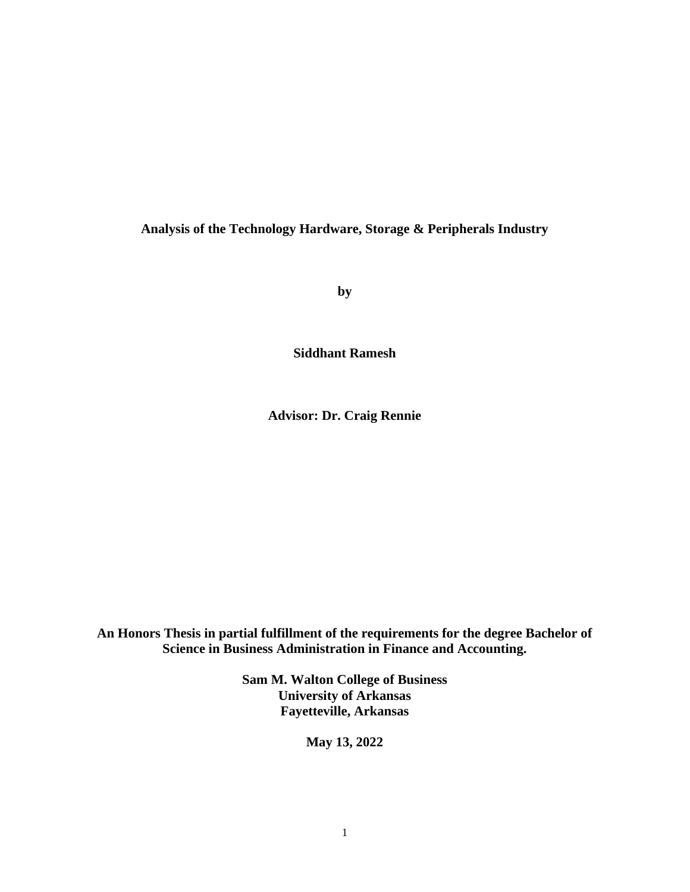# **Analysis of the Technology Hardware, Storage & Peripherals Industry**

**by**

**Siddhant Ramesh**

**Advisor: Dr. Craig Rennie**

**An Honors Thesis in partial fulfillment of the requirements for the degree Bachelor of Science in Business Administration in Finance and Accounting.**

> **Sam M. Walton College of Business University of Arkansas Fayetteville, Arkansas**

> > **May 13, 2022**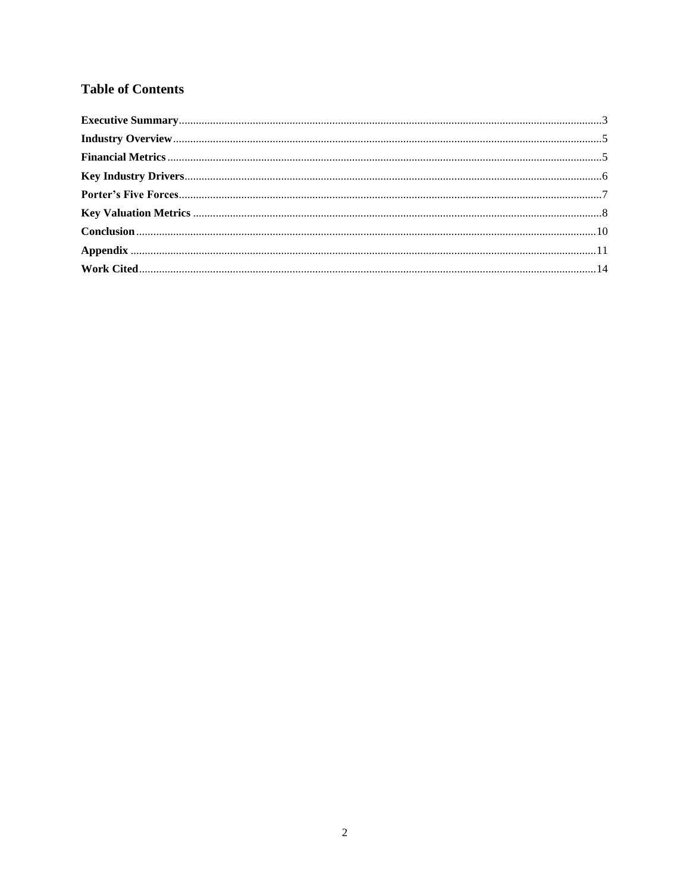# **Table of Contents**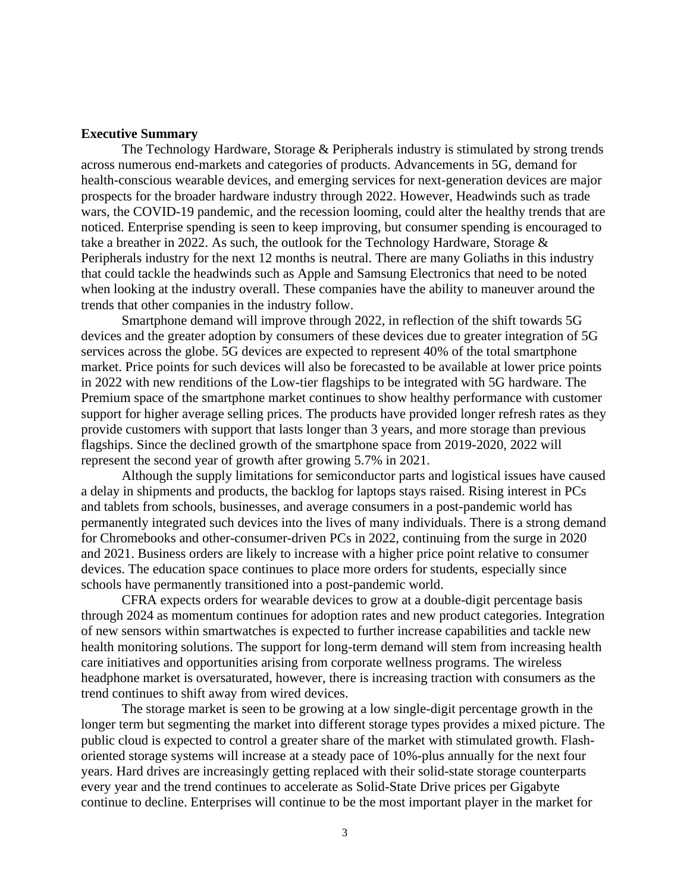#### <span id="page-3-0"></span>**Executive Summary**

The Technology Hardware, Storage & Peripherals industry is stimulated by strong trends across numerous end-markets and categories of products. Advancements in 5G, demand for health-conscious wearable devices, and emerging services for next-generation devices are major prospects for the broader hardware industry through 2022. However, Headwinds such as trade wars, the COVID-19 pandemic, and the recession looming, could alter the healthy trends that are noticed. Enterprise spending is seen to keep improving, but consumer spending is encouraged to take a breather in 2022. As such, the outlook for the Technology Hardware, Storage  $\&$ Peripherals industry for the next 12 months is neutral. There are many Goliaths in this industry that could tackle the headwinds such as Apple and Samsung Electronics that need to be noted when looking at the industry overall. These companies have the ability to maneuver around the trends that other companies in the industry follow.

Smartphone demand will improve through 2022, in reflection of the shift towards 5G devices and the greater adoption by consumers of these devices due to greater integration of 5G services across the globe. 5G devices are expected to represent 40% of the total smartphone market. Price points for such devices will also be forecasted to be available at lower price points in 2022 with new renditions of the Low-tier flagships to be integrated with 5G hardware. The Premium space of the smartphone market continues to show healthy performance with customer support for higher average selling prices. The products have provided longer refresh rates as they provide customers with support that lasts longer than 3 years, and more storage than previous flagships. Since the declined growth of the smartphone space from 2019-2020, 2022 will represent the second year of growth after growing 5.7% in 2021.

Although the supply limitations for semiconductor parts and logistical issues have caused a delay in shipments and products, the backlog for laptops stays raised. Rising interest in PCs and tablets from schools, businesses, and average consumers in a post-pandemic world has permanently integrated such devices into the lives of many individuals. There is a strong demand for Chromebooks and other-consumer-driven PCs in 2022, continuing from the surge in 2020 and 2021. Business orders are likely to increase with a higher price point relative to consumer devices. The education space continues to place more orders for students, especially since schools have permanently transitioned into a post-pandemic world.

CFRA expects orders for wearable devices to grow at a double-digit percentage basis through 2024 as momentum continues for adoption rates and new product categories. Integration of new sensors within smartwatches is expected to further increase capabilities and tackle new health monitoring solutions. The support for long-term demand will stem from increasing health care initiatives and opportunities arising from corporate wellness programs. The wireless headphone market is oversaturated, however, there is increasing traction with consumers as the trend continues to shift away from wired devices.

The storage market is seen to be growing at a low single-digit percentage growth in the longer term but segmenting the market into different storage types provides a mixed picture. The public cloud is expected to control a greater share of the market with stimulated growth. Flashoriented storage systems will increase at a steady pace of 10%-plus annually for the next four years. Hard drives are increasingly getting replaced with their solid-state storage counterparts every year and the trend continues to accelerate as Solid-State Drive prices per Gigabyte continue to decline. Enterprises will continue to be the most important player in the market for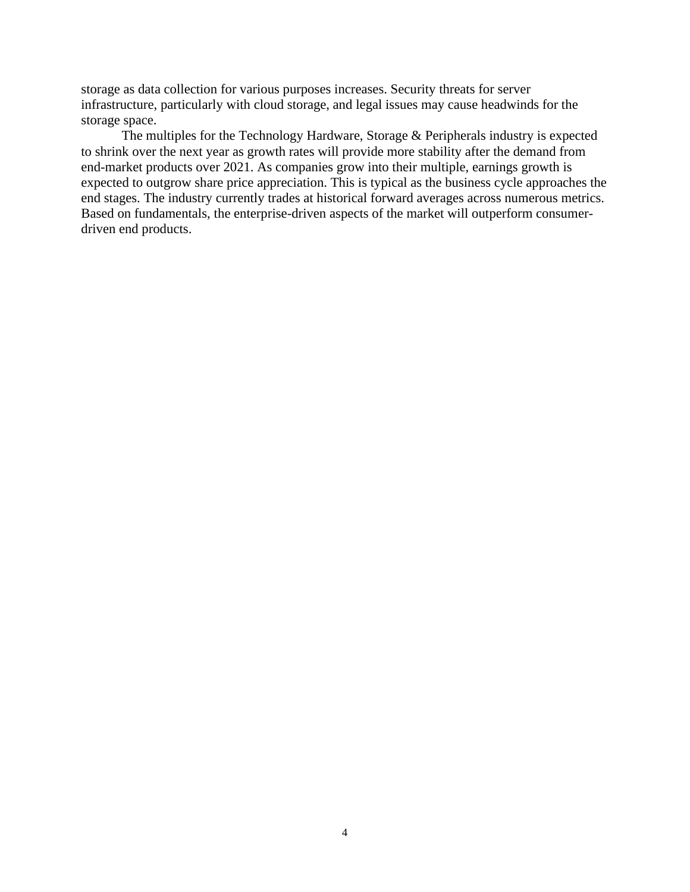storage as data collection for various purposes increases. Security threats for server infrastructure, particularly with cloud storage, and legal issues may cause headwinds for the storage space.

The multiples for the Technology Hardware, Storage & Peripherals industry is expected to shrink over the next year as growth rates will provide more stability after the demand from end-market products over 2021. As companies grow into their multiple, earnings growth is expected to outgrow share price appreciation. This is typical as the business cycle approaches the end stages. The industry currently trades at historical forward averages across numerous metrics. Based on fundamentals, the enterprise-driven aspects of the market will outperform consumerdriven end products.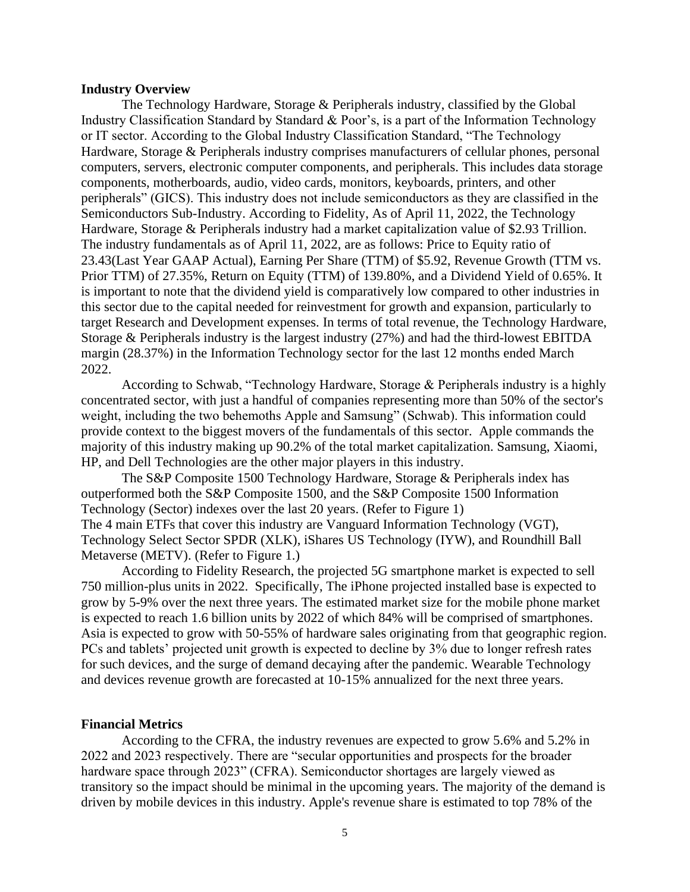#### <span id="page-5-0"></span>**Industry Overview**

The Technology Hardware, Storage & Peripherals industry, classified by the Global Industry Classification Standard by Standard & Poor's, is a part of the Information Technology or IT sector. According to the Global Industry Classification Standard, "The Technology Hardware, Storage & Peripherals industry comprises manufacturers of cellular phones, personal computers, servers, electronic computer components, and peripherals. This includes data storage components, motherboards, audio, video cards, monitors, keyboards, printers, and other peripherals" (GICS). This industry does not include semiconductors as they are classified in the Semiconductors Sub-Industry. According to Fidelity, As of April 11, 2022, the Technology Hardware, Storage & Peripherals industry had a market capitalization value of \$2.93 Trillion. The industry fundamentals as of April 11, 2022, are as follows: Price to Equity ratio of 23.43(Last Year GAAP Actual), Earning Per Share (TTM) of \$5.92, Revenue Growth (TTM vs. Prior TTM) of 27.35%, Return on Equity (TTM) of 139.80%, and a Dividend Yield of 0.65%. It is important to note that the dividend yield is comparatively low compared to other industries in this sector due to the capital needed for reinvestment for growth and expansion, particularly to target Research and Development expenses. In terms of total revenue, the Technology Hardware, Storage & Peripherals industry is the largest industry (27%) and had the third-lowest EBITDA margin (28.37%) in the Information Technology sector for the last 12 months ended March 2022.

According to Schwab, "Technology Hardware, Storage & Peripherals industry is a highly concentrated sector, with just a handful of companies representing more than 50% of the sector's weight, including the two behemoths Apple and Samsung" (Schwab). This information could provide context to the biggest movers of the fundamentals of this sector. Apple commands the majority of this industry making up 90.2% of the total market capitalization. Samsung, Xiaomi, HP, and Dell Technologies are the other major players in this industry.

The S&P Composite 1500 Technology Hardware, Storage & Peripherals index has outperformed both the S&P Composite 1500, and the S&P Composite 1500 Information Technology (Sector) indexes over the last 20 years. (Refer to Figure 1) The 4 main ETFs that cover this industry are Vanguard Information Technology (VGT), Technology Select Sector SPDR (XLK), iShares US Technology (IYW), and Roundhill Ball Metaverse (METV). (Refer to Figure 1.)

According to Fidelity Research, the projected 5G smartphone market is expected to sell 750 million-plus units in 2022. Specifically, The iPhone projected installed base is expected to grow by 5-9% over the next three years. The estimated market size for the mobile phone market is expected to reach 1.6 billion units by 2022 of which 84% will be comprised of smartphones. Asia is expected to grow with 50-55% of hardware sales originating from that geographic region. PCs and tablets' projected unit growth is expected to decline by 3% due to longer refresh rates for such devices, and the surge of demand decaying after the pandemic. Wearable Technology and devices revenue growth are forecasted at 10-15% annualized for the next three years.

#### <span id="page-5-1"></span>**Financial Metrics**

According to the CFRA, the industry revenues are expected to grow 5.6% and 5.2% in 2022 and 2023 respectively. There are "secular opportunities and prospects for the broader hardware space through 2023" (CFRA). Semiconductor shortages are largely viewed as transitory so the impact should be minimal in the upcoming years. The majority of the demand is driven by mobile devices in this industry. Apple's revenue share is estimated to top 78% of the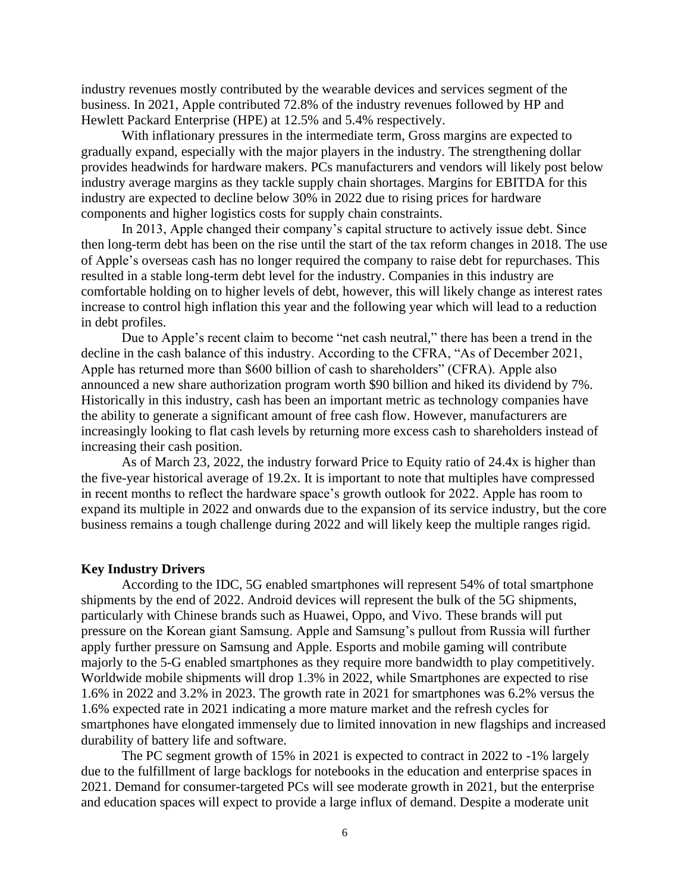industry revenues mostly contributed by the wearable devices and services segment of the business. In 2021, Apple contributed 72.8% of the industry revenues followed by HP and Hewlett Packard Enterprise (HPE) at 12.5% and 5.4% respectively.

With inflationary pressures in the intermediate term, Gross margins are expected to gradually expand, especially with the major players in the industry. The strengthening dollar provides headwinds for hardware makers. PCs manufacturers and vendors will likely post below industry average margins as they tackle supply chain shortages. Margins for EBITDA for this industry are expected to decline below 30% in 2022 due to rising prices for hardware components and higher logistics costs for supply chain constraints.

In 2013, Apple changed their company's capital structure to actively issue debt. Since then long-term debt has been on the rise until the start of the tax reform changes in 2018. The use of Apple's overseas cash has no longer required the company to raise debt for repurchases. This resulted in a stable long-term debt level for the industry. Companies in this industry are comfortable holding on to higher levels of debt, however, this will likely change as interest rates increase to control high inflation this year and the following year which will lead to a reduction in debt profiles.

Due to Apple's recent claim to become "net cash neutral," there has been a trend in the decline in the cash balance of this industry. According to the CFRA, "As of December 2021, Apple has returned more than \$600 billion of cash to shareholders" (CFRA). Apple also announced a new share authorization program worth \$90 billion and hiked its dividend by 7%. Historically in this industry, cash has been an important metric as technology companies have the ability to generate a significant amount of free cash flow. However, manufacturers are increasingly looking to flat cash levels by returning more excess cash to shareholders instead of increasing their cash position.

As of March 23, 2022, the industry forward Price to Equity ratio of 24.4x is higher than the five-year historical average of 19.2x. It is important to note that multiples have compressed in recent months to reflect the hardware space's growth outlook for 2022. Apple has room to expand its multiple in 2022 and onwards due to the expansion of its service industry, but the core business remains a tough challenge during 2022 and will likely keep the multiple ranges rigid.

#### <span id="page-6-0"></span>**Key Industry Drivers**

According to the IDC, 5G enabled smartphones will represent 54% of total smartphone shipments by the end of 2022. Android devices will represent the bulk of the 5G shipments, particularly with Chinese brands such as Huawei, Oppo, and Vivo. These brands will put pressure on the Korean giant Samsung. Apple and Samsung's pullout from Russia will further apply further pressure on Samsung and Apple. Esports and mobile gaming will contribute majorly to the 5-G enabled smartphones as they require more bandwidth to play competitively. Worldwide mobile shipments will drop 1.3% in 2022, while Smartphones are expected to rise 1.6% in 2022 and 3.2% in 2023. The growth rate in 2021 for smartphones was 6.2% versus the 1.6% expected rate in 2021 indicating a more mature market and the refresh cycles for smartphones have elongated immensely due to limited innovation in new flagships and increased durability of battery life and software.

The PC segment growth of 15% in 2021 is expected to contract in 2022 to -1% largely due to the fulfillment of large backlogs for notebooks in the education and enterprise spaces in 2021. Demand for consumer-targeted PCs will see moderate growth in 2021, but the enterprise and education spaces will expect to provide a large influx of demand. Despite a moderate unit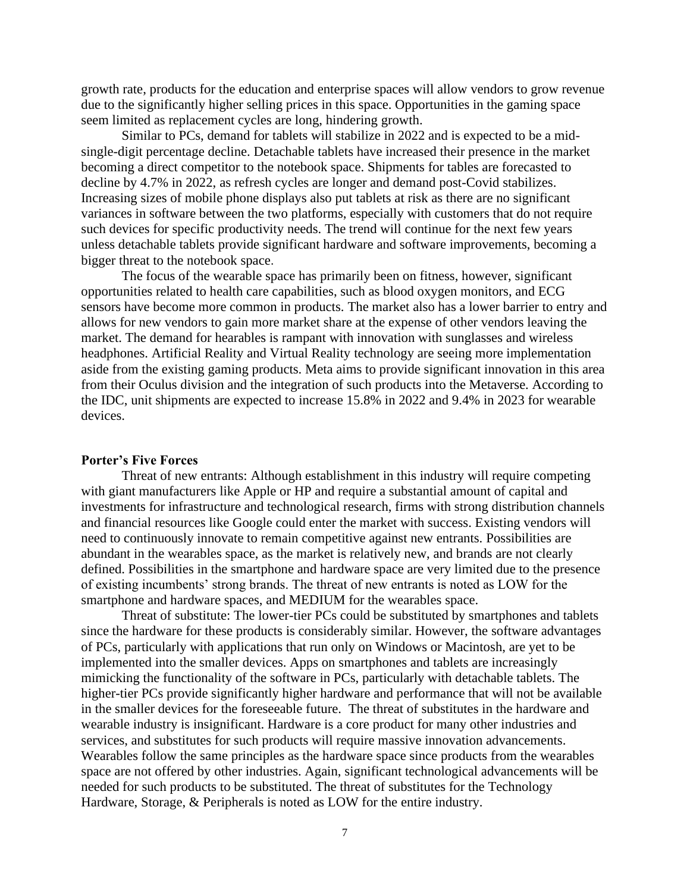growth rate, products for the education and enterprise spaces will allow vendors to grow revenue due to the significantly higher selling prices in this space. Opportunities in the gaming space seem limited as replacement cycles are long, hindering growth.

Similar to PCs, demand for tablets will stabilize in 2022 and is expected to be a midsingle-digit percentage decline. Detachable tablets have increased their presence in the market becoming a direct competitor to the notebook space. Shipments for tables are forecasted to decline by 4.7% in 2022, as refresh cycles are longer and demand post-Covid stabilizes. Increasing sizes of mobile phone displays also put tablets at risk as there are no significant variances in software between the two platforms, especially with customers that do not require such devices for specific productivity needs. The trend will continue for the next few years unless detachable tablets provide significant hardware and software improvements, becoming a bigger threat to the notebook space.

The focus of the wearable space has primarily been on fitness, however, significant opportunities related to health care capabilities, such as blood oxygen monitors, and ECG sensors have become more common in products. The market also has a lower barrier to entry and allows for new vendors to gain more market share at the expense of other vendors leaving the market. The demand for hearables is rampant with innovation with sunglasses and wireless headphones. Artificial Reality and Virtual Reality technology are seeing more implementation aside from the existing gaming products. Meta aims to provide significant innovation in this area from their Oculus division and the integration of such products into the Metaverse. According to the IDC, unit shipments are expected to increase 15.8% in 2022 and 9.4% in 2023 for wearable devices.

#### <span id="page-7-0"></span>**Porter's Five Forces**

Threat of new entrants: Although establishment in this industry will require competing with giant manufacturers like Apple or HP and require a substantial amount of capital and investments for infrastructure and technological research, firms with strong distribution channels and financial resources like Google could enter the market with success. Existing vendors will need to continuously innovate to remain competitive against new entrants. Possibilities are abundant in the wearables space, as the market is relatively new, and brands are not clearly defined. Possibilities in the smartphone and hardware space are very limited due to the presence of existing incumbents' strong brands. The threat of new entrants is noted as LOW for the smartphone and hardware spaces, and MEDIUM for the wearables space.

Threat of substitute: The lower-tier PCs could be substituted by smartphones and tablets since the hardware for these products is considerably similar. However, the software advantages of PCs, particularly with applications that run only on Windows or Macintosh, are yet to be implemented into the smaller devices. Apps on smartphones and tablets are increasingly mimicking the functionality of the software in PCs, particularly with detachable tablets. The higher-tier PCs provide significantly higher hardware and performance that will not be available in the smaller devices for the foreseeable future. The threat of substitutes in the hardware and wearable industry is insignificant. Hardware is a core product for many other industries and services, and substitutes for such products will require massive innovation advancements. Wearables follow the same principles as the hardware space since products from the wearables space are not offered by other industries. Again, significant technological advancements will be needed for such products to be substituted. The threat of substitutes for the Technology Hardware, Storage, & Peripherals is noted as LOW for the entire industry.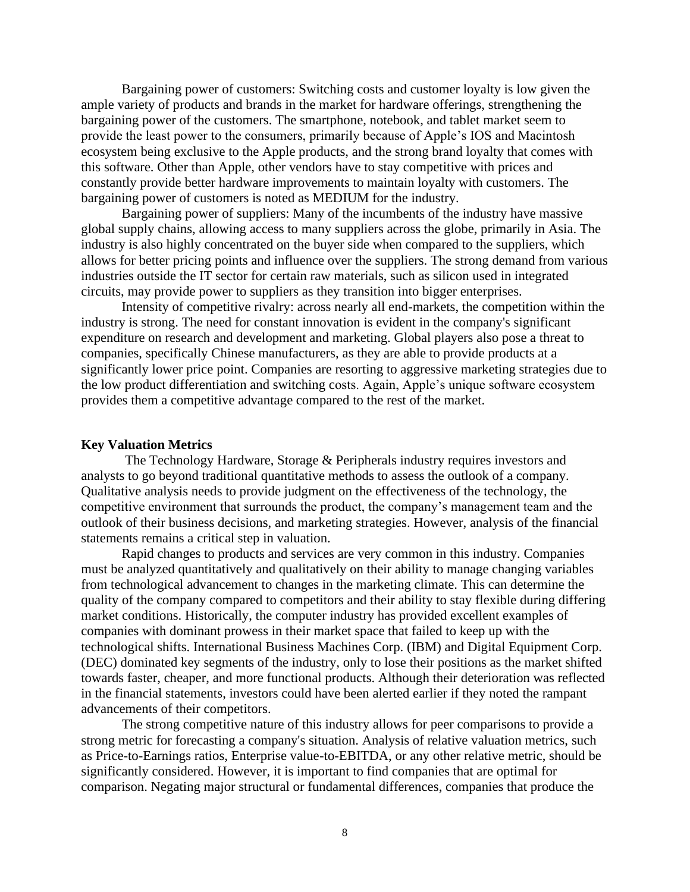Bargaining power of customers: Switching costs and customer loyalty is low given the ample variety of products and brands in the market for hardware offerings, strengthening the bargaining power of the customers. The smartphone, notebook, and tablet market seem to provide the least power to the consumers, primarily because of Apple's IOS and Macintosh ecosystem being exclusive to the Apple products, and the strong brand loyalty that comes with this software. Other than Apple, other vendors have to stay competitive with prices and constantly provide better hardware improvements to maintain loyalty with customers. The bargaining power of customers is noted as MEDIUM for the industry.

Bargaining power of suppliers: Many of the incumbents of the industry have massive global supply chains, allowing access to many suppliers across the globe, primarily in Asia. The industry is also highly concentrated on the buyer side when compared to the suppliers, which allows for better pricing points and influence over the suppliers. The strong demand from various industries outside the IT sector for certain raw materials, such as silicon used in integrated circuits, may provide power to suppliers as they transition into bigger enterprises.

Intensity of competitive rivalry: across nearly all end-markets, the competition within the industry is strong. The need for constant innovation is evident in the company's significant expenditure on research and development and marketing. Global players also pose a threat to companies, specifically Chinese manufacturers, as they are able to provide products at a significantly lower price point. Companies are resorting to aggressive marketing strategies due to the low product differentiation and switching costs. Again, Apple's unique software ecosystem provides them a competitive advantage compared to the rest of the market.

## <span id="page-8-0"></span>**Key Valuation Metrics**

The Technology Hardware, Storage & Peripherals industry requires investors and analysts to go beyond traditional quantitative methods to assess the outlook of a company. Qualitative analysis needs to provide judgment on the effectiveness of the technology, the competitive environment that surrounds the product, the company's management team and the outlook of their business decisions, and marketing strategies. However, analysis of the financial statements remains a critical step in valuation.

Rapid changes to products and services are very common in this industry. Companies must be analyzed quantitatively and qualitatively on their ability to manage changing variables from technological advancement to changes in the marketing climate. This can determine the quality of the company compared to competitors and their ability to stay flexible during differing market conditions. Historically, the computer industry has provided excellent examples of companies with dominant prowess in their market space that failed to keep up with the technological shifts. International Business Machines Corp. (IBM) and Digital Equipment Corp. (DEC) dominated key segments of the industry, only to lose their positions as the market shifted towards faster, cheaper, and more functional products. Although their deterioration was reflected in the financial statements, investors could have been alerted earlier if they noted the rampant advancements of their competitors.

The strong competitive nature of this industry allows for peer comparisons to provide a strong metric for forecasting a company's situation. Analysis of relative valuation metrics, such as Price-to-Earnings ratios, Enterprise value-to-EBITDA, or any other relative metric, should be significantly considered. However, it is important to find companies that are optimal for comparison. Negating major structural or fundamental differences, companies that produce the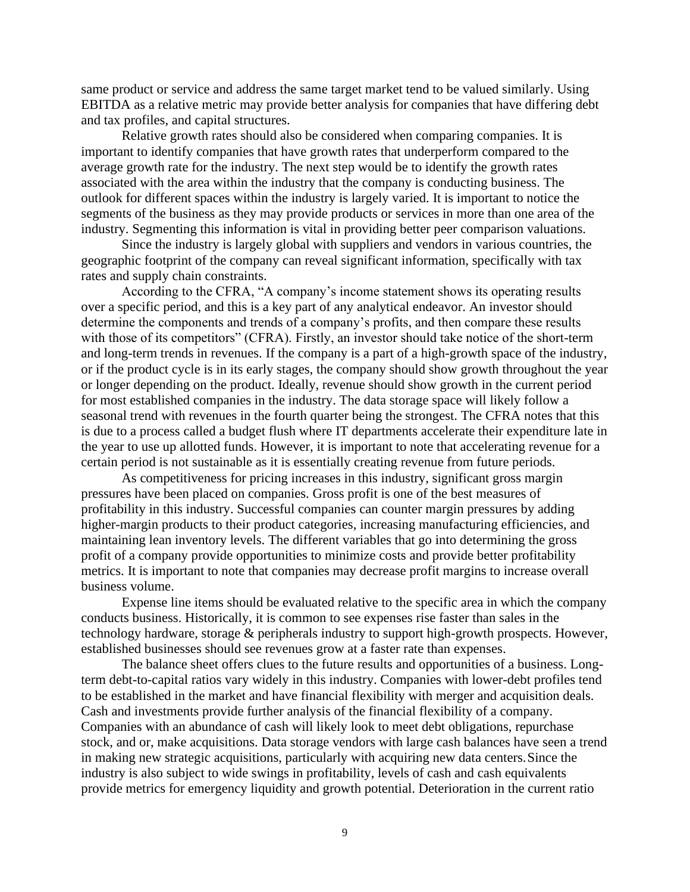same product or service and address the same target market tend to be valued similarly. Using EBITDA as a relative metric may provide better analysis for companies that have differing debt and tax profiles, and capital structures.

Relative growth rates should also be considered when comparing companies. It is important to identify companies that have growth rates that underperform compared to the average growth rate for the industry. The next step would be to identify the growth rates associated with the area within the industry that the company is conducting business. The outlook for different spaces within the industry is largely varied. It is important to notice the segments of the business as they may provide products or services in more than one area of the industry. Segmenting this information is vital in providing better peer comparison valuations.

 Since the industry is largely global with suppliers and vendors in various countries, the geographic footprint of the company can reveal significant information, specifically with tax rates and supply chain constraints.

According to the CFRA, "A company's income statement shows its operating results over a specific period, and this is a key part of any analytical endeavor. An investor should determine the components and trends of a company's profits, and then compare these results with those of its competitors" (CFRA). Firstly, an investor should take notice of the short-term and long-term trends in revenues. If the company is a part of a high-growth space of the industry, or if the product cycle is in its early stages, the company should show growth throughout the year or longer depending on the product. Ideally, revenue should show growth in the current period for most established companies in the industry. The data storage space will likely follow a seasonal trend with revenues in the fourth quarter being the strongest. The CFRA notes that this is due to a process called a budget flush where IT departments accelerate their expenditure late in the year to use up allotted funds. However, it is important to note that accelerating revenue for a certain period is not sustainable as it is essentially creating revenue from future periods.

As competitiveness for pricing increases in this industry, significant gross margin pressures have been placed on companies. Gross profit is one of the best measures of profitability in this industry. Successful companies can counter margin pressures by adding higher-margin products to their product categories, increasing manufacturing efficiencies, and maintaining lean inventory levels. The different variables that go into determining the gross profit of a company provide opportunities to minimize costs and provide better profitability metrics. It is important to note that companies may decrease profit margins to increase overall business volume.

Expense line items should be evaluated relative to the specific area in which the company conducts business. Historically, it is common to see expenses rise faster than sales in the technology hardware, storage & peripherals industry to support high-growth prospects. However, established businesses should see revenues grow at a faster rate than expenses.

The balance sheet offers clues to the future results and opportunities of a business. Longterm debt-to-capital ratios vary widely in this industry. Companies with lower-debt profiles tend to be established in the market and have financial flexibility with merger and acquisition deals. Cash and investments provide further analysis of the financial flexibility of a company. Companies with an abundance of cash will likely look to meet debt obligations, repurchase stock, and or, make acquisitions. Data storage vendors with large cash balances have seen a trend in making new strategic acquisitions, particularly with acquiring new data centers.Since the industry is also subject to wide swings in profitability, levels of cash and cash equivalents provide metrics for emergency liquidity and growth potential. Deterioration in the current ratio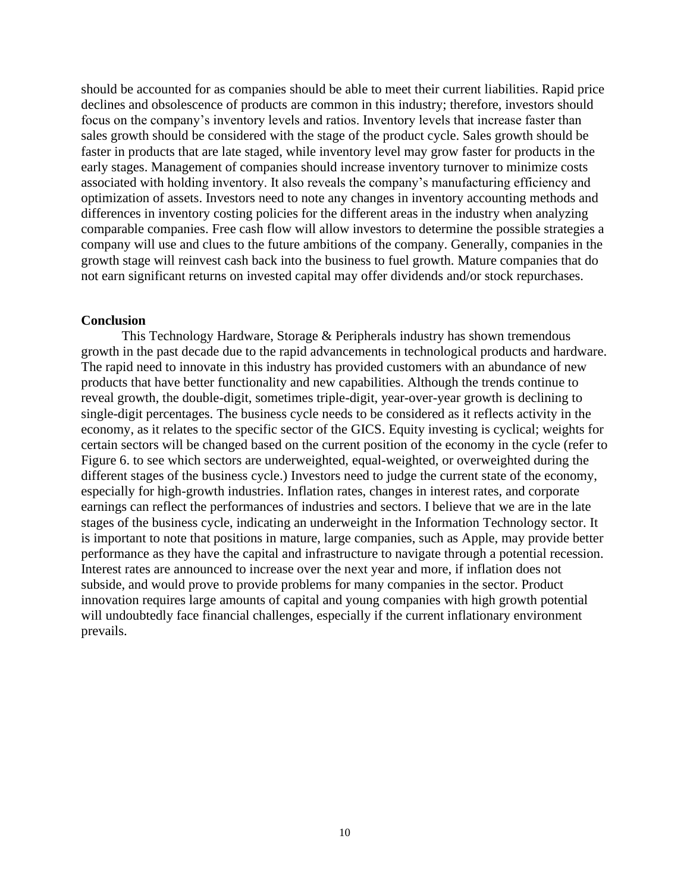should be accounted for as companies should be able to meet their current liabilities. Rapid price declines and obsolescence of products are common in this industry; therefore, investors should focus on the company's inventory levels and ratios. Inventory levels that increase faster than sales growth should be considered with the stage of the product cycle. Sales growth should be faster in products that are late staged, while inventory level may grow faster for products in the early stages. Management of companies should increase inventory turnover to minimize costs associated with holding inventory. It also reveals the company's manufacturing efficiency and optimization of assets. Investors need to note any changes in inventory accounting methods and differences in inventory costing policies for the different areas in the industry when analyzing comparable companies. Free cash flow will allow investors to determine the possible strategies a company will use and clues to the future ambitions of the company. Generally, companies in the growth stage will reinvest cash back into the business to fuel growth. Mature companies that do not earn significant returns on invested capital may offer dividends and/or stock repurchases.

#### <span id="page-10-0"></span>**Conclusion**

This Technology Hardware, Storage & Peripherals industry has shown tremendous growth in the past decade due to the rapid advancements in technological products and hardware. The rapid need to innovate in this industry has provided customers with an abundance of new products that have better functionality and new capabilities. Although the trends continue to reveal growth, the double-digit, sometimes triple-digit, year-over-year growth is declining to single-digit percentages. The business cycle needs to be considered as it reflects activity in the economy, as it relates to the specific sector of the GICS. Equity investing is cyclical; weights for certain sectors will be changed based on the current position of the economy in the cycle (refer to Figure 6. to see which sectors are underweighted, equal-weighted, or overweighted during the different stages of the business cycle.) Investors need to judge the current state of the economy, especially for high-growth industries. Inflation rates, changes in interest rates, and corporate earnings can reflect the performances of industries and sectors. I believe that we are in the late stages of the business cycle, indicating an underweight in the Information Technology sector. It is important to note that positions in mature, large companies, such as Apple, may provide better performance as they have the capital and infrastructure to navigate through a potential recession. Interest rates are announced to increase over the next year and more, if inflation does not subside, and would prove to provide problems for many companies in the sector. Product innovation requires large amounts of capital and young companies with high growth potential will undoubtedly face financial challenges, especially if the current inflationary environment prevails.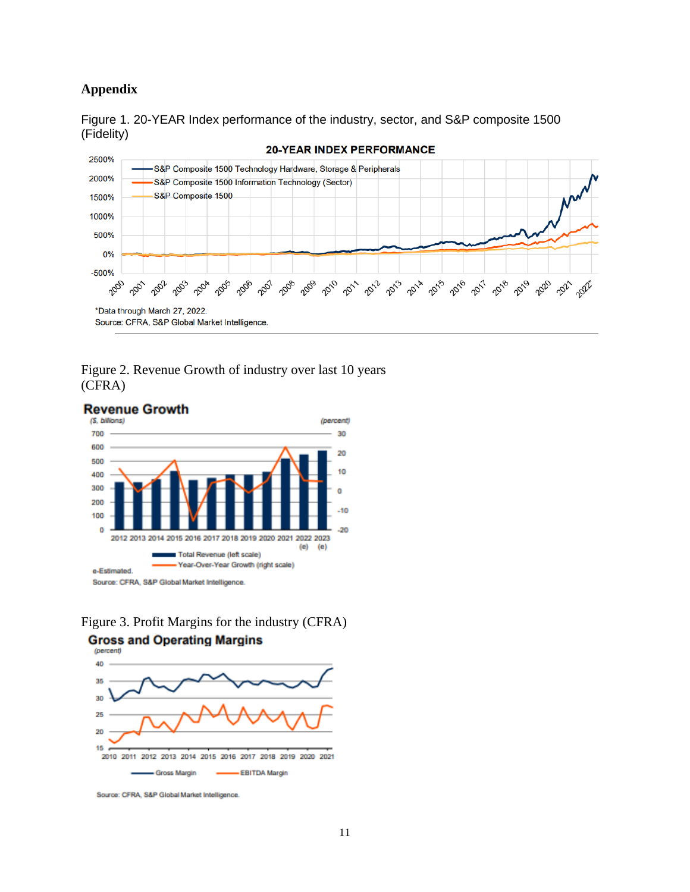## <span id="page-11-0"></span>**Appendix**





## Figure 2. Revenue Growth of industry over last 10 years (CFRA)







Source: CFRA, S&P Global Market Intelligence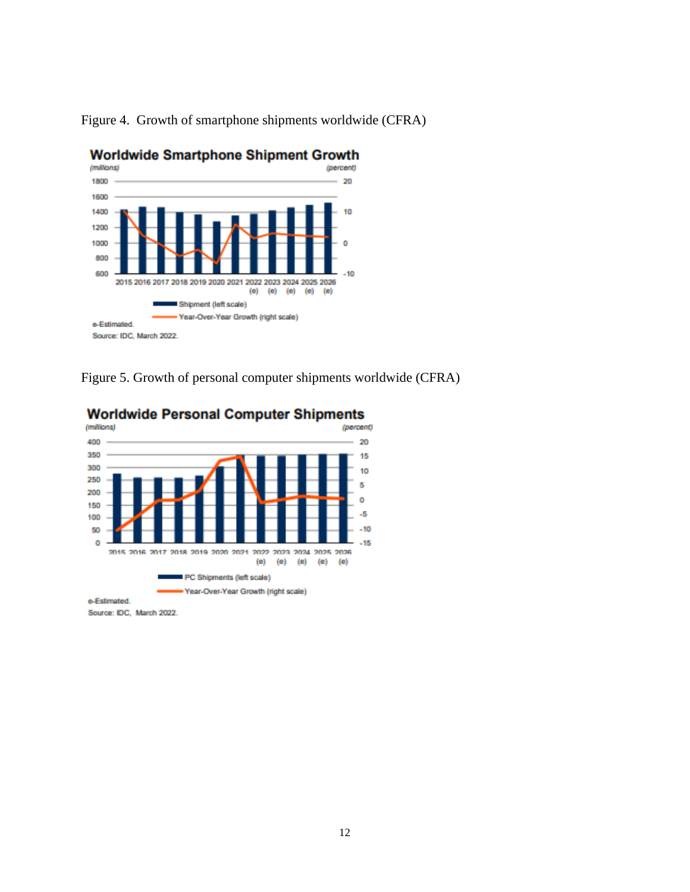

Figure 4. Growth of smartphone shipments worldwide (CFRA)

Figure 5. Growth of personal computer shipments worldwide (CFRA)



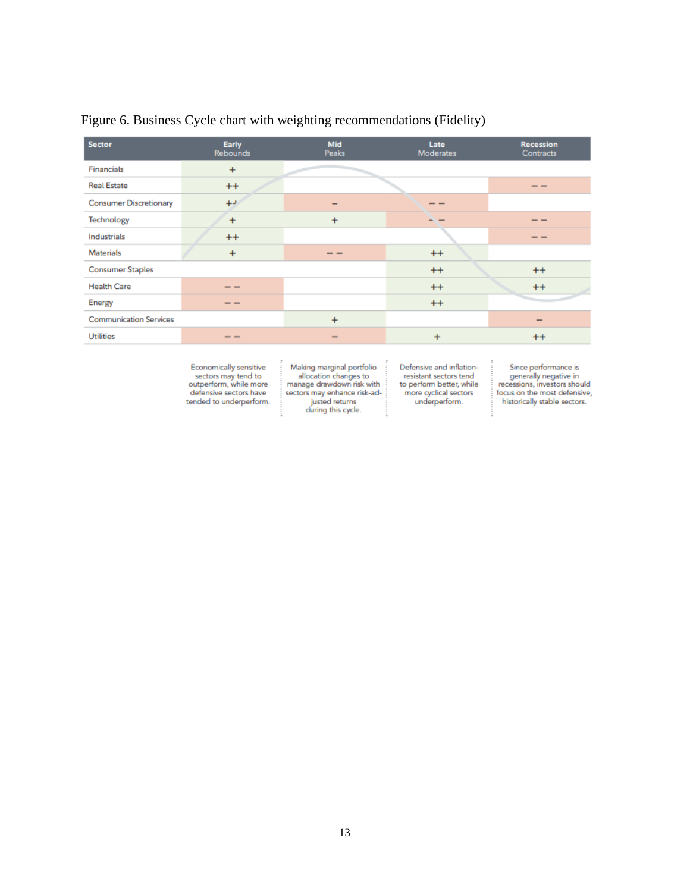| <b>Sector</b>                 | <b>Early</b><br><b>Rebounds</b> | Mid<br>Peaks             | Late<br><b>Moderates</b> | <b>Recession</b><br>Contracts |
|-------------------------------|---------------------------------|--------------------------|--------------------------|-------------------------------|
| Financials                    | $\ddot{}$                       |                          |                          |                               |
| <b>Real Estate</b>            | $^{++}$                         |                          |                          | - -                           |
| <b>Consumer Discretionary</b> | $+1$                            |                          | - -                      |                               |
| Technology                    | $\ddot{}$                       | $\ddot{}$                |                          | - -                           |
| Industrials                   | $++$                            |                          |                          | - -                           |
| <b>Materials</b>              | $\ddot{}$                       | $- -$                    | $^{++}$                  |                               |
| <b>Consumer Staples</b>       |                                 |                          | $++$                     | $^{++}$                       |
| <b>Health Care</b>            | - -                             |                          | $++$                     | $++$                          |
| <b>Energy</b>                 | - -                             |                          | $++$                     |                               |
| <b>Communication Services</b> |                                 | $\ddot{}$                |                          |                               |
| <b>Utilities</b>              | - -                             | $\overline{\phantom{a}}$ | $\boldsymbol{+}$         | $^{++}$                       |

# Figure 6. Business Cycle chart with weighting recommendations (Fidelity)

Economically sensitive<br>sectors may tend to<br>outperform, while more<br>defensive sectors have tended to underperform.

Making marginal portfolio<br>allocation changes to<br>manage drawdown risk with sectors may enhance risk-adjusted returns<br>during this cycle.

Defensive and inflation-<br>resistant sectors tend<br>to perform better, while more cyclical sectors underperform.

Since performance is<br>generally negative in<br>recessions, investors should focus on the most defensive, historically stable sectors.